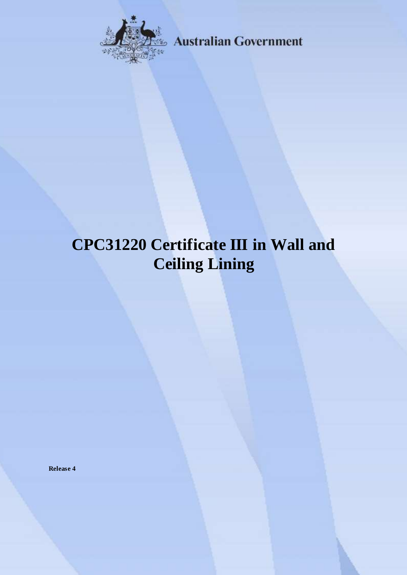

**Australian Government** 

# **CPC31220 Certificate III in Wall and Ceiling Lining**

**Release 4**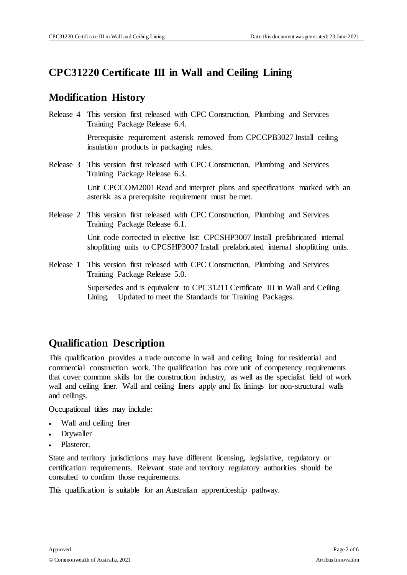### **CPC31220 Certificate III in Wall and Ceiling Lining**

### **Modification History**

Release 4 This version first released with CPC Construction, Plumbing and Services Training Package Release 6.4. Prerequisite requirement asterisk removed from CPCCPB3027 Install ceiling

insulation products in packaging rules.

Release 3 This version first released with CPC Construction, Plumbing and Services Training Package Release 6.3.

> Unit CPCCOM2001 Read and interpret plans and specifications marked with an asterisk as a prerequisite requirement must be met.

Release 2 This version first released with CPC Construction, Plumbing and Services Training Package Release 6.1.

> Unit code corrected in elective list: CPCSHP3007 Install prefabricated internal shopfitting units to CPCSHP3007 Install prefabricated internal shopfitting units.

Release 1 This version first released with CPC Construction, Plumbing and Services Training Package Release 5.0.

> Supersedes and is equivalent to CPC31211 Certificate III in Wall and Ceiling Lining. Updated to meet the Standards for Training Packages.

# **Qualification Description**

This qualification provides a trade outcome in wall and ceiling lining for residential and commercial construction work. The qualification has core unit of competency requirements that cover common skills for the construction industry, as well as the specialist field of work wall and ceiling liner. Wall and ceiling liners apply and fix linings for non-structural walls and ceilings.

Occupational titles may include:

- Wall and ceiling liner
- Drywaller
- Plasterer.

State and territory jurisdictions may have different licensing, legislative, regulatory or certification requirements. Relevant state and territory regulatory authorities should be consulted to confirm those requirements.

This qualification is suitable for an Australian apprenticeship pathway.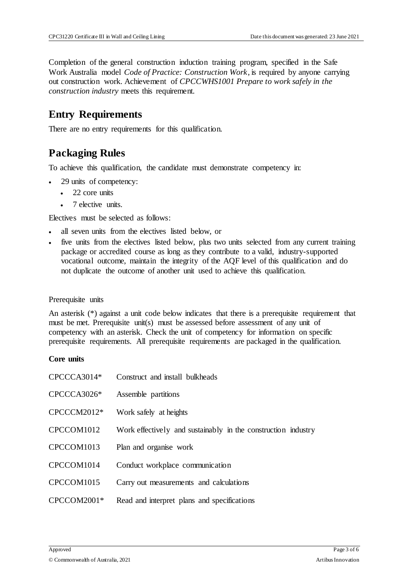Completion of the general construction induction training program, specified in the Safe Work Australia model *Code of Practice: Construction Work*, is required by anyone carrying out construction work. Achievement of *CPCCWHS1001 Prepare to work safely in the construction industry* meets this requirement.

### **Entry Requirements**

There are no entry requirements for this qualification.

# **Packaging Rules**

To achieve this qualification, the candidate must demonstrate competency in:

- 29 units of competency:
	- 22 core units
	- 7 elective units.

Electives must be selected as follows:

- all seven units from the electives listed below, or
- five units from the electives listed below, plus two units selected from any current training package or accredited course as long as they contribute to a valid, industry-supported vocational outcome, maintain the integrity of the AQF level of this qualification and do not duplicate the outcome of another unit used to achieve this qualification.

#### Prerequisite units

An asterisk (\*) against a unit code below indicates that there is a prerequisite requirement that must be met. Prerequisite unit(s) must be assessed before assessment of any unit of competency with an asterisk. Check the unit of competency for information on specific prerequisite requirements. All prerequisite requirements are packaged in the qualification.

#### **Core units**

| CPCCCA3014* | Construct and install bulkheads                               |  |  |
|-------------|---------------------------------------------------------------|--|--|
| CPCCCA3026* | Assemble partitions                                           |  |  |
| CPCCCM2012* | Work safely at heights                                        |  |  |
| CPCCOM1012  | Work effectively and sustainably in the construction industry |  |  |
| CPCCOM1013  | Plan and organise work                                        |  |  |
| CPCCOM1014  | Conduct workplace communication                               |  |  |
| CPCCOM1015  | Carry out measurements and calculations                       |  |  |
| CPCCOM2001* | Read and interpret plans and specifications                   |  |  |
|             |                                                               |  |  |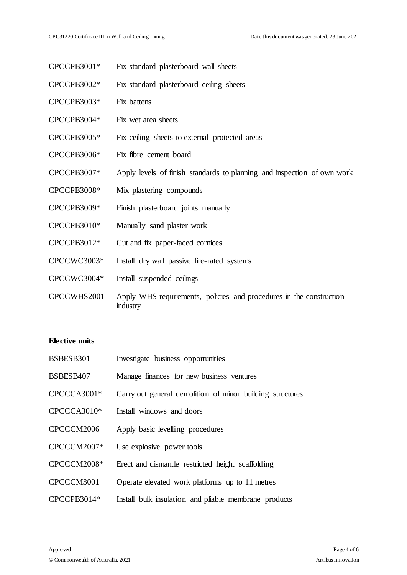- CPCCPB3001\* Fix standard plasterboard wall sheets
- CPCCPB3002\* Fix standard plasterboard ceiling sheets
- CPCCPB3003\* Fix battens
- CPCCPB3004\* Fix wet area sheets
- CPCCPB3005\* Fix ceiling sheets to external protected areas
- CPCCPB3006\* Fix fibre cement board
- CPCCPB3007\* Apply levels of finish standards to planning and inspection of own work
- CPCCPB3008\* Mix plastering compounds
- CPCCPB3009\* Finish plasterboard joints manually
- CPCCPB3010\* Manually sand plaster work
- CPCCPB3012\* Cut and fix paper-faced cornices
- CPCCWC3003\* Install dry wall passive fire-rated systems
- CPCCWC3004\* Install suspended ceilings
- CPCCWHS2001 Apply WHS requirements, policies and procedures in the construction industry

#### **Elective units**

BSBESB301 Investigate business opportunities BSBESB407 Manage finances for new business ventures CPCCCA3001\* Carry out general demolition of minor building structures CPCCCA3010\* Install windows and doors CPCCCM2006 Apply basic levelling procedures CPCCCM2007\* Use explosive power tools CPCCCM2008\* Erect and dismantle restricted height scaffolding CPCCCM3001 Operate elevated work platforms up to 11 metres CPCCPB3014\* Install bulk insulation and pliable membrane products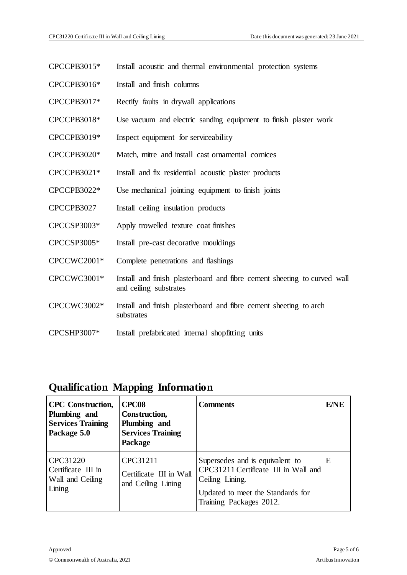- CPCCPB3015\* Install acoustic and thermal environmental protection systems
- CPCCPB3016\* Install and finish columns
- CPCCPB3017\* Rectify faults in drywall applications
- CPCCPB3018\* Use vacuum and electric sanding equipment to finish plaster work
- CPCCPB3019\* Inspect equipment for serviceability
- CPCCPB3020\* Match, mitre and install cast ornamental cornices
- CPCCPB3021\* Install and fix residential acoustic plaster products
- CPCCPB3022\* Use mechanical jointing equipment to finish joints
- CPCCPB3027 Install ceiling insulation products
- CPCCSP3003\* Apply trowelled texture coat finishes
- CPCCSP3005\* Install pre-cast decorative mouldings
- CPCCWC2001\* Complete penetrations and flashings
- CPCCWC3001\* Install and finish plasterboard and fibre cement sheeting to curved wall and ceiling substrates
- CPCCWC3002\* Install and finish plasterboard and fibre cement sheeting to arch substrates
- CPCSHP3007\* Install prefabricated internal shopfitting units

### **Qualification Mapping Information**

| <b>CPC</b> Construction,<br>Plumbing and<br><b>Services Training</b><br>Package 5.0 | CPC08<br>Construction,<br>Plumbing and<br><b>Services Training</b><br><b>Package</b> | Comments                                                                                                                                                   | <b>E/NE</b> |
|-------------------------------------------------------------------------------------|--------------------------------------------------------------------------------------|------------------------------------------------------------------------------------------------------------------------------------------------------------|-------------|
| CPC31220<br>Certificate III in<br>Wall and Ceiling<br>Lining                        | CPC31211<br>Certificate III in Wall<br>and Ceiling Lining                            | Supersedes and is equivalent to<br>CPC31211 Certificate III in Wall and<br>Ceiling Lining.<br>Updated to meet the Standards for<br>Training Packages 2012. | Е           |